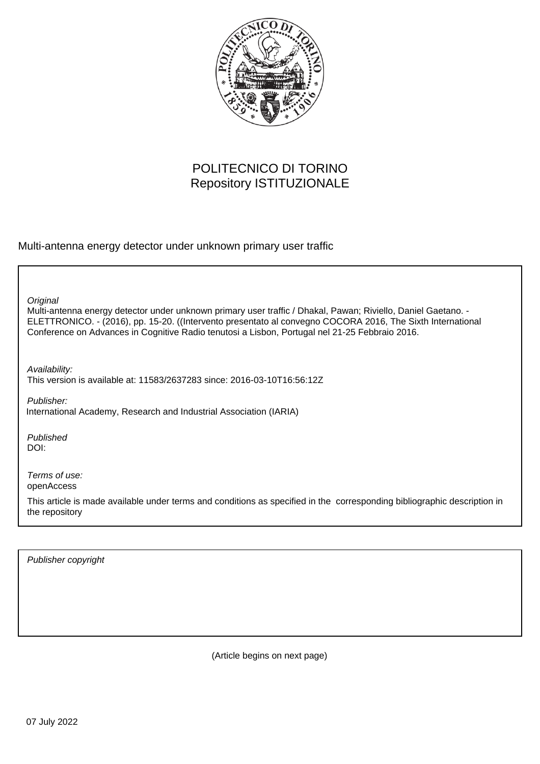

## POLITECNICO DI TORINO Repository ISTITUZIONALE

Multi-antenna energy detector under unknown primary user traffic

Multi-antenna energy detector under unknown primary user traffic / Dhakal, Pawan; Riviello, Daniel Gaetano. - ELETTRONICO. - (2016), pp. 15-20. ((Intervento presentato al convegno COCORA 2016, The Sixth International Conference on Advances in Cognitive Radio tenutosi a Lisbon, Portugal nel 21-25 Febbraio 2016. **Original** 

Availability: This version is available at: 11583/2637283 since: 2016-03-10T16:56:12Z

Publisher: International Academy, Research and Industrial Association (IARIA)

Published DOI:

Terms of use: openAccess

This article is made available under terms and conditions as specified in the corresponding bibliographic description in the repository

Publisher copyright

(Article begins on next page)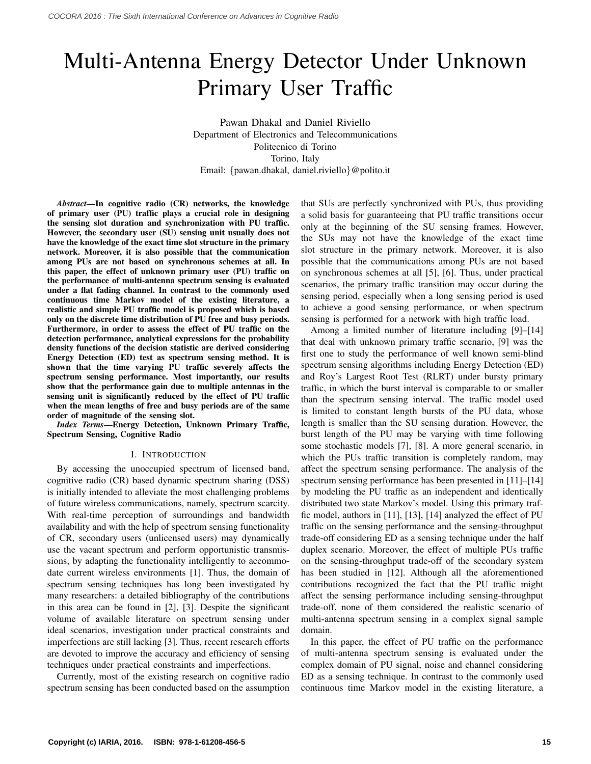# Multi-Antenna Energy Detector Under Unknown Primary User Traffic

Pawan Dhakal and Daniel Riviello Department of Electronics and Telecommunications Politecnico di Torino Torino, Italy Email: {pawan.dhakal, daniel.riviello}@polito.it

*Abstract*—In cognitive radio (CR) networks, the knowledge of primary user (PU) traffic plays a crucial role in designing the sensing slot duration and synchronization with PU traffic. However, the secondary user (SU) sensing unit usually does not have the knowledge of the exact time slot structure in the primary network. Moreover, it is also possible that the communication among PUs are not based on synchronous schemes at all. In this paper, the effect of unknown primary user (PU) traffic on the performance of multi-antenna spectrum sensing is evaluated under a flat fading channel. In contrast to the commonly used continuous time Markov model of the existing literature, a realistic and simple PU traffic model is proposed which is based only on the discrete time distribution of PU free and busy periods. Furthermore, in order to assess the effect of PU traffic on the detection performance, analytical expressions for the probability density functions of the decision statistic are derived considering Energy Detection (ED) test as spectrum sensing method. It is shown that the time varying PU traffic severely affects the spectrum sensing performance. Most importantly, our results show that the performance gain due to multiple antennas in the sensing unit is significantly reduced by the effect of PU traffic when the mean lengths of free and busy periods are of the same order of magnitude of the sensing slot.

*Index Terms*—Energy Detection, Unknown Primary Traffic, Spectrum Sensing, Cognitive Radio

#### I. INTRODUCTION

By accessing the unoccupied spectrum of licensed band, cognitive radio (CR) based dynamic spectrum sharing (DSS) is initially intended to alleviate the most challenging problems of future wireless communications, namely, spectrum scarcity. With real-time perception of surroundings and bandwidth availability and with the help of spectrum sensing functionality of CR, secondary users (unlicensed users) may dynamically use the vacant spectrum and perform opportunistic transmissions, by adapting the functionality intelligently to accommodate current wireless environments [1]. Thus, the domain of spectrum sensing techniques has long been investigated by many researchers: a detailed bibliography of the contributions in this area can be found in [2], [3]. Despite the significant volume of available literature on spectrum sensing under ideal scenarios, investigation under practical constraints and imperfections are still lacking [3]. Thus, recent research efforts are devoted to improve the accuracy and efficiency of sensing techniques under practical constraints and imperfections.

Currently, most of the existing research on cognitive radio spectrum sensing has been conducted based on the assumption that SUs are perfectly synchronized with PUs, thus providing a solid basis for guaranteeing that PU traffic transitions occur only at the beginning of the SU sensing frames. However, the SUs may not have the knowledge of the exact time slot structure in the primary network. Moreover, it is also possible that the communications among PUs are not based on synchronous schemes at all [5], [6]. Thus, under practical scenarios, the primary traffic transition may occur during the sensing period, especially when a long sensing period is used to achieve a good sensing performance, or when spectrum sensing is performed for a network with high traffic load.

Among a limited number of literature including [9]–[14] that deal with unknown primary traffic scenario, [9] was the first one to study the performance of well known semi-blind spectrum sensing algorithms including Energy Detection (ED) and Roy's Largest Root Test (RLRT) under bursty primary traffic, in which the burst interval is comparable to or smaller than the spectrum sensing interval. The traffic model used is limited to constant length bursts of the PU data, whose length is smaller than the SU sensing duration. However, the burst length of the PU may be varying with time following some stochastic models [7], [8]. A more general scenario, in which the PUs traffic transition is completely random, may affect the spectrum sensing performance. The analysis of the spectrum sensing performance has been presented in [11]–[14] by modeling the PU traffic as an independent and identically distributed two state Markov's model. Using this primary traffic model, authors in [11], [13], [14] analyzed the effect of PU traffic on the sensing performance and the sensing-throughput trade-off considering ED as a sensing technique under the half duplex scenario. Moreover, the effect of multiple PUs traffic on the sensing-throughput trade-off of the secondary system has been studied in [12]. Although all the aforementioned contributions recognized the fact that the PU traffic might affect the sensing performance including sensing-throughput trade-off, none of them considered the realistic scenario of multi-antenna spectrum sensing in a complex signal sample domain.

In this paper, the effect of PU traffic on the performance of multi-antenna spectrum sensing is evaluated under the complex domain of PU signal, noise and channel considering ED as a sensing technique. In contrast to the commonly used continuous time Markov model in the existing literature, a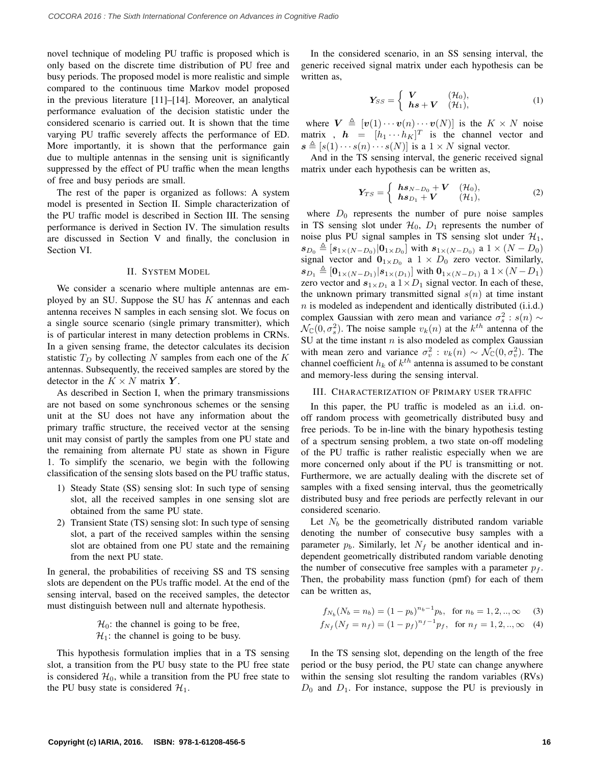novel technique of modeling PU traffic is proposed which is only based on the discrete time distribution of PU free and busy periods. The proposed model is more realistic and simple compared to the continuous time Markov model proposed in the previous literature [11]–[14]. Moreover, an analytical performance evaluation of the decision statistic under the considered scenario is carried out. It is shown that the time varying PU traffic severely affects the performance of ED. More importantly, it is shown that the performance gain due to multiple antennas in the sensing unit is significantly suppressed by the effect of PU traffic when the mean lengths of free and busy periods are small.

The rest of the paper is organized as follows: A system model is presented in Section II. Simple characterization of the PU traffic model is described in Section III. The sensing performance is derived in Section IV. The simulation results are discussed in Section V and finally, the conclusion in Section VI.

#### II. SYSTEM MODEL

We consider a scenario where multiple antennas are employed by an SU. Suppose the SU has  $K$  antennas and each antenna receives N samples in each sensing slot. We focus on a single source scenario (single primary transmitter), which is of particular interest in many detection problems in CRNs. In a given sensing frame, the detector calculates its decision statistic  $T_D$  by collecting N samples from each one of the K antennas. Subsequently, the received samples are stored by the detector in the  $K \times N$  matrix Y.

As described in Section I, when the primary transmissions are not based on some synchronous schemes or the sensing unit at the SU does not have any information about the primary traffic structure, the received vector at the sensing unit may consist of partly the samples from one PU state and the remaining from alternate PU state as shown in Figure 1. To simplify the scenario, we begin with the following classification of the sensing slots based on the PU traffic status,

- 1) Steady State (SS) sensing slot: In such type of sensing slot, all the received samples in one sensing slot are obtained from the same PU state.
- 2) Transient State (TS) sensing slot: In such type of sensing slot, a part of the received samples within the sensing slot are obtained from one PU state and the remaining from the next PU state.

In general, the probabilities of receiving SS and TS sensing slots are dependent on the PUs traffic model. At the end of the sensing interval, based on the received samples, the detector must distinguish between null and alternate hypothesis.

> $\mathcal{H}_0$ : the channel is going to be free,  $\mathcal{H}_1$ : the channel is going to be busy.

This hypothesis formulation implies that in a TS sensing slot, a transition from the PU busy state to the PU free state is considered  $\mathcal{H}_0$ , while a transition from the PU free state to the PU busy state is considered  $\mathcal{H}_1$ .

In the considered scenario, in an SS sensing interval, the generic received signal matrix under each hypothesis can be written as,

$$
\mathbf{Y}_{SS} = \begin{cases} \mathbf{V} & (\mathcal{H}_0), \\ \mathbf{h}\mathbf{s} + \mathbf{V} & (\mathcal{H}_1), \end{cases}
$$
 (1)

where  $V \triangleq [v(1) \cdots v(n) \cdots v(N)]$  is the  $K \times N$  noise matrix ,  $\mathbf{h} = [h_1 \cdots h_K]^T$  is the channel vector and  $s \triangleq [s(1) \cdots s(n) \cdots s(N)]$  is a  $1 \times N$  signal vector.

And in the TS sensing interval, the generic received signal matrix under each hypothesis can be written as,

$$
\boldsymbol{Y}_{TS} = \begin{cases} \boldsymbol{h}\boldsymbol{s}_{N-D_0} + \boldsymbol{V} & (\mathcal{H}_0), \\ \boldsymbol{h}\boldsymbol{s}_{D_1} + \boldsymbol{V} & (\mathcal{H}_1), \end{cases}
$$
 (2)

where  $D_0$  represents the number of pure noise samples in TS sensing slot under  $H_0$ ,  $D_1$  represents the number of noise plus PU signal samples in TS sensing slot under  $\mathcal{H}_1$ ,  $s_{D_0} \triangleq [s_{1 \times (N-D_0)} | 0_{1 \times D_0}]$  with  $s_{1 \times (N-D_0)}$  a  $1 \times (N-D_0)$ signal vector and  $\mathbf{0}_{1 \times D_0}$  a  $1 \times D_0$  zero vector. Similarly,  $\boldsymbol{s}_{D_1} \triangleq [\boldsymbol{0}_{1\times (N-D_1)} | \boldsymbol{s}_{1\times (D_1)}]$  with  $\boldsymbol{0}_{1\times (N-D_1)}$  a  $1\times (N-D_1)$ zero vector and  $s_{1 \times D_1}$  a  $1 \times D_1$  signal vector. In each of these, the unknown primary transmitted signal  $s(n)$  at time instant  $n$  is modeled as independent and identically distributed (i.i.d.) complex Gaussian with zero mean and variance  $\sigma_s^2$ :  $s(n) \sim$  $\mathcal{N}_{\mathbb{C}}(0, \sigma_s^2)$ . The noise sample  $v_k(n)$  at the  $k^{th}$  antenna of the SU at the time instant  $n$  is also modeled as complex Gaussian with mean zero and variance  $\sigma_v^2$ :  $v_k(n) \sim \mathcal{N}_\mathbb{C}(0, \sigma_v^2)$ . The channel coefficient  $h_k$  of  $k^{th}$  antenna is assumed to be constant and memory-less during the sensing interval.

#### III. CHARACTERIZATION OF PRIMARY USER TRAFFIC

In this paper, the PU traffic is modeled as an i.i.d. onoff random process with geometrically distributed busy and free periods. To be in-line with the binary hypothesis testing of a spectrum sensing problem, a two state on-off modeling of the PU traffic is rather realistic especially when we are more concerned only about if the PU is transmitting or not. Furthermore, we are actually dealing with the discrete set of samples with a fixed sensing interval, thus the geometrically distributed busy and free periods are perfectly relevant in our considered scenario.

Let  $N_b$  be the geometrically distributed random variable denoting the number of consecutive busy samples with a parameter  $p_b$ . Similarly, let  $N_f$  be another identical and independent geometrically distributed random variable denoting the number of consecutive free samples with a parameter  $p_f$ . Then, the probability mass function (pmf) for each of them can be written as,

$$
f_{N_b}(N_b = n_b) = (1 - p_b)^{n_b - 1} p_b, \text{ for } n_b = 1, 2, ..., \infty \quad (3)
$$
  

$$
f_{N_f}(N_f = n_f) = (1 - p_f)^{n_f - 1} p_f, \text{ for } n_f = 1, 2, ..., \infty \quad (4)
$$

In the TS sensing slot, depending on the length of the free period or the busy period, the PU state can change anywhere within the sensing slot resulting the random variables (RVs)  $D_0$  and  $D_1$ . For instance, suppose the PU is previously in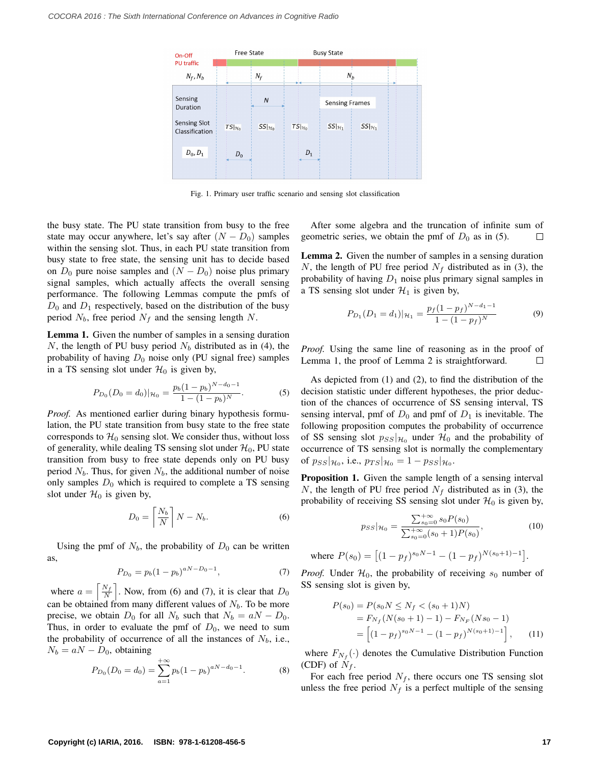

Fig. 1. Primary user traffic scenario and sensing slot classification

the busy state. The PU state transition from busy to the free state may occur anywhere, let's say after  $(N - D_0)$  samples within the sensing slot. Thus, in each PU state transition from busy state to free state, the sensing unit has to decide based on  $D_0$  pure noise samples and  $(N - D_0)$  noise plus primary signal samples, which actually affects the overall sensing performance. The following Lemmas compute the pmfs of  $D_0$  and  $D_1$  respectively, based on the distribution of the busy period  $N_b$ , free period  $N_f$  and the sensing length N.

Lemma 1. Given the number of samples in a sensing duration N, the length of PU busy period  $N_b$  distributed as in (4), the probability of having  $D_0$  noise only (PU signal free) samples in a TS sensing slot under  $\mathcal{H}_0$  is given by,

$$
P_{D_0}(D_0 = d_0)|_{\mathcal{H}_0} = \frac{p_b(1 - p_b)^{N - d_0 - 1}}{1 - (1 - p_b)^N}.
$$
 (5)

*Proof.* As mentioned earlier during binary hypothesis formulation, the PU state transition from busy state to the free state corresponds to  $\mathcal{H}_0$  sensing slot. We consider thus, without loss of generality, while dealing TS sensing slot under  $\mathcal{H}_0$ , PU state transition from busy to free state depends only on PU busy period  $N_b$ . Thus, for given  $N_b$ , the additional number of noise only samples  $D_0$  which is required to complete a TS sensing slot under  $\mathcal{H}_0$  is given by,

$$
D_0 = \left\lceil \frac{N_b}{N} \right\rceil N - N_b. \tag{6}
$$

Using the pmf of  $N_b$ , the probability of  $D_0$  can be written as,

$$
P_{D_0} = p_b (1 - p_b)^{aN - D_0 - 1},\tag{7}
$$

where  $a = \left[\frac{N_f}{N}\right]$  $\frac{N_f}{N}$ . Now, from (6) and (7), it is clear that  $D_0$ can be obtained from many different values of  $N_b$ . To be more precise, we obtain  $D_0$  for all  $N_b$  such that  $N_b = aN - D_0$ . Thus, in order to evaluate the pmf of  $D_0$ , we need to sum the probability of occurrence of all the instances of  $N_b$ , i.e.,  $N_b = aN - D_0$ , obtaining

$$
P_{D_0}(D_0 = d_0) = \sum_{a=1}^{+\infty} p_b (1 - p_b)^{aN - d_0 - 1}.
$$
 (8)

After some algebra and the truncation of infinite sum of geometric series, we obtain the pmf of  $D_0$  as in (5).  $\Box$ 

Lemma 2. Given the number of samples in a sensing duration N, the length of PU free period  $N_f$  distributed as in (3), the probability of having  $D_1$  noise plus primary signal samples in a TS sensing slot under  $\mathcal{H}_1$  is given by,

$$
P_{D_1}(D_1 = d_1)|_{\mathcal{H}_1} = \frac{p_f(1 - p_f)^{N - d_1 - 1}}{1 - (1 - p_f)^N}
$$
(9)

*Proof.* Using the same line of reasoning as in the proof of Lemma 1, the proof of Lemma 2 is straightforward.  $\Box$ 

As depicted from (1) and (2), to find the distribution of the decision statistic under different hypotheses, the prior deduction of the chances of occurrence of SS sensing interval, TS sensing interval, pmf of  $D_0$  and pmf of  $D_1$  is inevitable. The following proposition computes the probability of occurrence of SS sensing slot  $p_{SS}|_{\mathcal{H}_0}$  under  $\mathcal{H}_0$  and the probability of occurrence of TS sensing slot is normally the complementary of  $p_{SS} |_{\mathcal{H}_0}$ , i.e.,  $p_{TS} |_{\mathcal{H}_0} = 1 - p_{SS} |_{\mathcal{H}_0}$ .

Proposition 1. Given the sample length of a sensing interval N, the length of PU free period  $N_f$  distributed as in (3), the probability of receiving SS sensing slot under  $\mathcal{H}_0$  is given by,

$$
p_{SS}|\mu_0 = \frac{\sum_{s_0=0}^{+\infty} s_0 P(s_0)}{\sum_{s_0=0}^{+\infty} (s_0 + 1)P(s_0)},
$$
(10)

where 
$$
P(s_0) = [(1 - p_f)^{s_0 N - 1} - (1 - p_f)^{N(s_0 + 1) - 1}].
$$

*Proof.* Under  $H_0$ , the probability of receiving  $s_0$  number of SS sensing slot is given by,

$$
P(s_0) = P(s_0 N \le N_f < (s_0 + 1)N)
$$
  
=  $F_{N_f}(N(s_0 + 1) - 1) - F_{N_F}(Ns_0 - 1)$   
=  $\left[ (1 - p_f)^{s_0 N - 1} - (1 - p_f)^{N(s_0 + 1) - 1} \right],$  (11)

where  $F_{N_f}(\cdot)$  denotes the Cumulative Distribution Function (CDF) of  $N_f$ .

For each free period  $N_f$ , there occurs one TS sensing slot unless the free period  $N_f$  is a perfect multiple of the sensing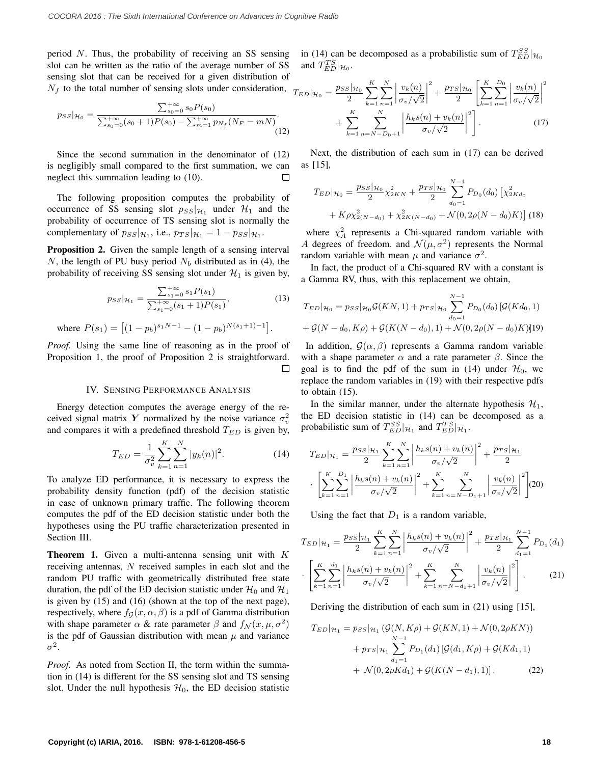period N. Thus, the probability of receiving an SS sensing slot can be written as the ratio of the average number of SS sensing slot that can be received for a given distribution of  $N_f$  to the total number of sensing slots under consideration,  $T_E$ 

$$
p_{SS}|\mathcal{H}_0 = \frac{\sum_{s_0=0}^{+\infty} s_0 P(s_0)}{\sum_{s_0=0}^{+\infty} (s_0+1)P(s_0) - \sum_{m=1}^{+\infty} p_{N_f}(N_F = mN)}.
$$
\n(12)

Since the second summation in the denominator of (12) is negligibly small compared to the first summation, we can neglect this summation leading to (10).

The following proposition computes the probability of occurrence of SS sensing slot  $p_{SS}$  | $\mathcal{H}_1$  under  $\mathcal{H}_1$  and the probability of occurrence of TS sensing slot is normally the complementary of  $p_{SS}$ , i.e.,  $p_{TS}|_{\mathcal{H}_1} = 1 - p_{SS}|_{\mathcal{H}_1}$ .

Proposition 2. Given the sample length of a sensing interval N, the length of PU busy period  $N_b$  distributed as in (4), the probability of receiving SS sensing slot under  $\mathcal{H}_1$  is given by,

$$
p_{SS}|\mathcal{H}_1 = \frac{\sum_{s_1=0}^{+\infty} s_1 P(s_1)}{\sum_{s_1=0}^{+\infty} (s_1 + 1) P(s_1)},
$$
(13)

where  $P(s_1) = \left[ (1 - p_b)^{s_1 N - 1} - (1 - p_b)^{N(s_1 + 1) - 1} \right]$ .

*Proof.* Using the same line of reasoning as in the proof of Proposition 1, the proof of Proposition 2 is straightforward. П

#### IV. SENSING PERFORMANCE ANALYSIS

Energy detection computes the average energy of the received signal matrix Y normalized by the noise variance  $\sigma_v^2$ and compares it with a predefined threshold  $T_{ED}$  is given by,

$$
T_{ED} = \frac{1}{\sigma_v^2} \sum_{k=1}^{K} \sum_{n=1}^{N} |y_k(n)|^2.
$$
 (14)

To analyze ED performance, it is necessary to express the probability density function (pdf) of the decision statistic in case of unknown primary traffic. The following theorem computes the pdf of the ED decision statistic under both the hypotheses using the PU traffic characterization presented in Section III.

**Theorem 1.** Given a multi-antenna sensing unit with  $K$ receiving antennas, N received samples in each slot and the random PU traffic with geometrically distributed free state duration, the pdf of the ED decision statistic under  $\mathcal{H}_0$  and  $\mathcal{H}_1$ is given by (15) and (16) (shown at the top of the next page), respectively, where  $f_G(x, \alpha, \beta)$  is a pdf of Gamma distribution with shape parameter  $\alpha$  & rate parameter  $\beta$  and  $f_{\mathcal{N}}(x, \mu, \sigma^2)$ is the pdf of Gaussian distribution with mean  $\mu$  and variance  $\sigma^2$ .

*Proof.* As noted from Section II, the term within the summation in (14) is different for the SS sensing slot and TS sensing slot. Under the null hypothesis  $\mathcal{H}_0$ , the ED decision statistic in (14) can be decomposed as a probabilistic sum of  $T_{ED}^{SS}|_{\mathcal{H}_0}$ and  $T_{ED}^{TS}|_{\mathcal{H}_0}$ .

$$
D|_{\mathcal{H}_0} = \frac{p_{SS}|\mathcal{H}_0}{2} \sum_{k=1}^K \sum_{n=1}^N \left| \frac{v_k(n)}{\sigma_v/\sqrt{2}} \right|^2 + \frac{p_{TS}|\mathcal{H}_0}{2} \left[ \sum_{k=1}^K \sum_{n=1}^{D_0} \left| \frac{v_k(n)}{\sigma_v/\sqrt{2}} \right|^2 + \sum_{k=1}^K \sum_{n=N-D_0+1}^N \left| \frac{h_k s(n) + v_k(n)}{\sigma_v/\sqrt{2}} \right|^2 \right].
$$
 (17)

Next, the distribution of each sum in (17) can be derived as [15],

$$
T_{ED}|\mathcal{H}_0 = \frac{p_{SS}|\mathcal{H}_0}{2}\chi_{2KN}^2 + \frac{p_{TS}|\mathcal{H}_0}{2}\sum_{d_0=1}^{N-1}P_{D_0}(d_0)\left[\chi_{2Kd_0}^2 + K\rho\chi_{2(N-d_0)}^2 + \chi_{2K(N-d_0)}^2 + \mathcal{N}(0,2\rho(N-d_0)K)\right]
$$
(18)

where  $\chi_A^2$  represents a Chi-squared random variable with A degrees of freedom. and  $\mathcal{N}(\mu, \sigma^2)$  represents the Normal random variable with mean  $\mu$  and variance  $\sigma^2$ .

In fact, the product of a Chi-squared RV with a constant is a Gamma RV, thus, with this replacement we obtain,

$$
T_{ED}|\mathcal{H}_0 = p_{SS}|\mathcal{H}_0\mathcal{G}(KN,1) + p_{TS}|\mathcal{H}_0 \sum_{d_0=1}^{N-1} P_{D_0}(d_0) [\mathcal{G}(Kd_0,1) + \mathcal{G}(N-d_0, K\rho) + \mathcal{G}(K(N-d_0), 1) + \mathcal{N}(0, 2\rho(N-d_0)K)]19)
$$

In addition,  $\mathcal{G}(\alpha, \beta)$  represents a Gamma random variable with a shape parameter  $\alpha$  and a rate parameter  $\beta$ . Since the goal is to find the pdf of the sum in (14) under  $\mathcal{H}_0$ , we replace the random variables in (19) with their respective pdfs to obtain (15).

In the similar manner, under the alternate hypothesis  $\mathcal{H}_1$ , the ED decision statistic in (14) can be decomposed as a probabilistic sum of  $T_{ED}^{SS} |_{\mathcal{H}_1}$  and  $T_{ED}^{TS} |_{\mathcal{H}_1}$ .

$$
T_{ED}|\mathcal{H}_1 = \frac{p_{SS}|\mathcal{H}_1}{2} \sum_{k=1}^{K} \sum_{n=1}^{N} \left| \frac{h_k s(n) + v_k(n)}{\sigma_v / \sqrt{2}} \right|^2 + \frac{p_{TS}|\mathcal{H}_1}{2}
$$

$$
\left| \sum_{k=1}^{K} \sum_{n=1}^{D_1} \left| \frac{h_k s(n) + v_k(n)}{\sigma_v / \sqrt{2}} \right|^2 + \sum_{k=1}^{K} \sum_{n=N-D_1+1}^{N} \left| \frac{v_k(n)}{\sigma_v / \sqrt{2}} \right|^2 \right] (20)
$$

Using the fact that  $D_1$  is a random variable,

$$
T_{ED}|\mathcal{H}_1 = \frac{p_{SS}|\mathcal{H}_1}{2} \sum_{k=1}^K \sum_{n=1}^N \left| \frac{h_k s(n) + v_k(n)}{\sigma_v / \sqrt{2}} \right|^2 + \frac{p_{TS}|\mathcal{H}_1}{2} \sum_{d_1=1}^{N-1} P_{D_1}(d_1)
$$

$$
\left| \sum_{k=1}^K \sum_{n=1}^{d_1} \left| \frac{h_k s(n) + v_k(n)}{\sigma_v / \sqrt{2}} \right|^2 + \sum_{k=1}^K \sum_{n=N-d_1+1}^N \left| \frac{v_k(n)}{\sigma_v / \sqrt{2}} \right|^2 \right].
$$
 (21)

Deriving the distribution of each sum in (21) using [15],

$$
T_{ED}|\mathcal{H}_1 = p_{SS}|\mathcal{H}_1 (G(N, K\rho) + G(KN, 1) + \mathcal{N}(0, 2\rho KN))
$$
  
+  $p_{TS}|\mathcal{H}_1 \sum_{d_1=1}^{N-1} P_{D_1}(d_1) [G(d_1, K\rho) + G(Kd_1, 1)$   
+  $\mathcal{N}(0, 2\rho Kd_1) + G(K(N - d_1), 1)].$  (22)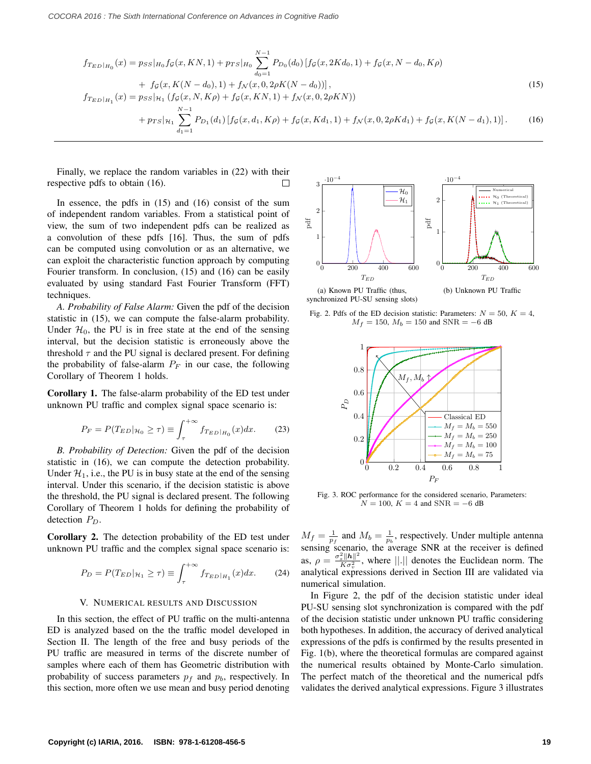$$
f_{T_{ED}|H_{0}}(x) = p_{SS}|_{H_{0}}f_{\mathcal{G}}(x,KN,1) + p_{TS}|_{H_{0}} \sum_{d_{0}=1}^{N-1} P_{D_{0}}(d_{0}) [f_{\mathcal{G}}(x,2Kd_{0},1) + f_{\mathcal{G}}(x,N-d_{0},K\rho) + f_{\mathcal{G}}(x,K(N-d_{0}),1) + f_{\mathcal{N}}(x,0,2\rho K(N-d_{0}))],
$$
\n
$$
f_{T_{ED}|_{H_{1}}}(x) = p_{SS}|_{\mathcal{H}_{1}} (f_{\mathcal{G}}(x,N,K\rho) + f_{\mathcal{G}}(x,KN,1) + f_{\mathcal{N}}(x,0,2\rho KN)) + p_{TS}|_{\mathcal{H}_{1}} \sum_{d_{1}=1}^{N-1} P_{D_{1}}(d_{1}) [f_{\mathcal{G}}(x,d_{1},K\rho) + f_{\mathcal{G}}(x,Kd_{1},1) + f_{\mathcal{N}}(x,0,2\rho Kd_{1}) + f_{\mathcal{G}}(x,K(N-d_{1}),1)]. \qquad (16)
$$

Finally, we replace the random variables in (22) with their respective pdfs to obtain (16). П

In essence, the pdfs in (15) and (16) consist of the sum of independent random variables. From a statistical point of view, the sum of two independent pdfs can be realized as a convolution of these pdfs [16]. Thus, the sum of pdfs can be computed using convolution or as an alternative, we can exploit the characteristic function approach by computing Fourier transform. In conclusion, (15) and (16) can be easily evaluated by using standard Fast Fourier Transform (FFT) techniques.

*A. Probability of False Alarm:* Given the pdf of the decision statistic in (15), we can compute the false-alarm probability. Under  $\mathcal{H}_0$ , the PU is in free state at the end of the sensing interval, but the decision statistic is erroneously above the threshold  $\tau$  and the PU signal is declared present. For defining the probability of false-alarm  $P_F$  in our case, the following Corollary of Theorem 1 holds.

Corollary 1. The false-alarm probability of the ED test under unknown PU traffic and complex signal space scenario is:

$$
P_F = P(T_{ED}|_{\mathcal{H}_0} \ge \tau) \equiv \int_{\tau}^{+\infty} f_{T_{ED}|_{H_0}}(x) dx.
$$
 (23)

*B. Probability of Detection:* Given the pdf of the decision statistic in (16), we can compute the detection probability. Under  $\mathcal{H}_1$ , i.e., the PU is in busy state at the end of the sensing interval. Under this scenario, if the decision statistic is above the threshold, the PU signal is declared present. The following Corollary of Theorem 1 holds for defining the probability of detection  $P_D$ .

Corollary 2. The detection probability of the ED test under unknown PU traffic and the complex signal space scenario is:

$$
P_D = P(T_{ED}|_{\mathcal{H}_1} \ge \tau) \equiv \int_{\tau}^{+\infty} f_{T_{ED}|_{H_1}}(x) dx. \tag{24}
$$

#### V. NUMERICAL RESULTS AND DISCUSSION

In this section, the effect of PU traffic on the multi-antenna ED is analyzed based on the the traffic model developed in Section II. The length of the free and busy periods of the PU traffic are measured in terms of the discrete number of samples where each of them has Geometric distribution with probability of success parameters  $p_f$  and  $p_b$ , respectively. In this section, more often we use mean and busy period denoting



Fig. 2. Pdfs of the ED decision statistic: Parameters:  $N = 50$ ,  $K = 4$ ,  $M_f = 150$ ,  $M_b = 150$  and SNR = −6 dB



Fig. 3. ROC performance for the considered scenario, Parameters:  $N = 100$ ,  $K = 4$  and  $\text{SNR} = -6$  dB

 $M_f = \frac{1}{p_f}$  and  $M_b = \frac{1}{p_b}$ , respectively. Under multiple antenna sensing scenario, the average SNR at the receiver is defined as,  $\rho = \frac{\sigma_s^2 ||\mathbf{h}||^2}{K \sigma^2}$  $\frac{\|h\|}{K\sigma_v^2}$ , where  $\|\cdot\|$  denotes the Euclidean norm. The analytical expressions derived in Section III are validated via numerical simulation.

In Figure 2, the pdf of the decision statistic under ideal PU-SU sensing slot synchronization is compared with the pdf of the decision statistic under unknown PU traffic considering both hypotheses. In addition, the accuracy of derived analytical expressions of the pdfs is confirmed by the results presented in Fig. 1(b), where the theoretical formulas are compared against the numerical results obtained by Monte-Carlo simulation. The perfect match of the theoretical and the numerical pdfs validates the derived analytical expressions. Figure 3 illustrates